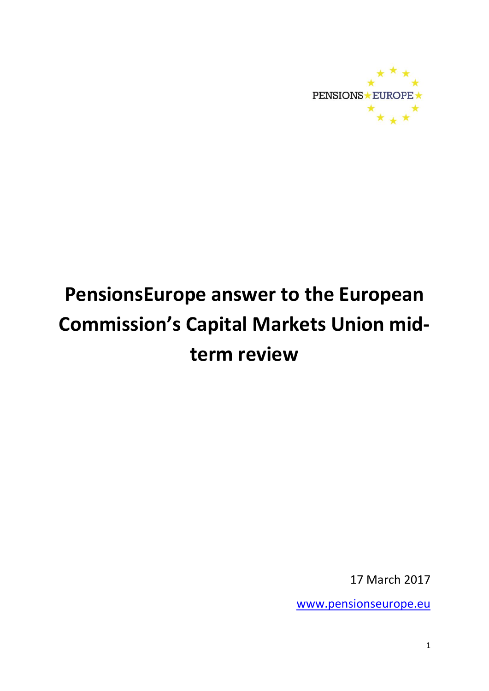

# **PensionsEurope answer to the European Commission's Capital Markets Union midterm review**

17 March 2017

[www.pensionseurope.eu](http://www.pensionseurope.eu/)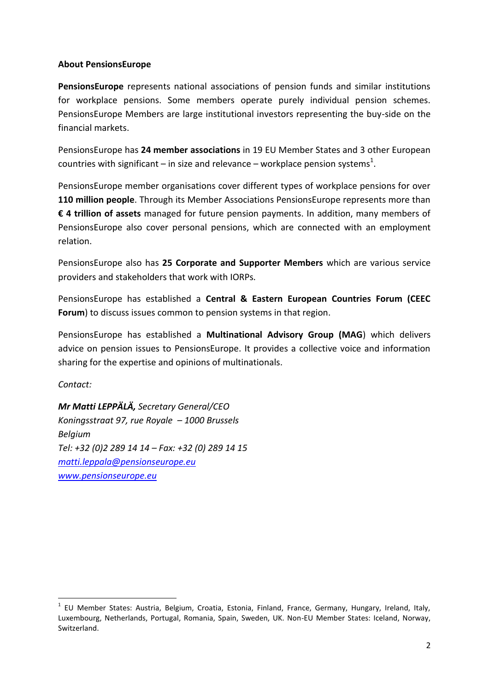## **About PensionsEurope**

**PensionsEurope** represents national associations of pension funds and similar institutions for workplace pensions. Some members operate purely individual pension schemes. PensionsEurope Members are large institutional investors representing the buy-side on the financial markets.

PensionsEurope has **24 member associations** in 19 EU Member States and 3 other European countries with significant – in size and relevance – workplace pension systems<sup>1</sup>.

PensionsEurope member organisations cover different types of workplace pensions for over **110 million people**. Through its Member Associations PensionsEurope represents more than **€ 4 trillion of assets** managed for future pension payments. In addition, many members of PensionsEurope also cover personal pensions, which are connected with an employment relation.

PensionsEurope also has **25 Corporate and Supporter Members** which are various service providers and stakeholders that work with IORPs.

PensionsEurope has established a **Central & Eastern European Countries Forum (CEEC Forum**) to discuss issues common to pension systems in that region.

PensionsEurope has established a **Multinational Advisory Group (MAG**) which delivers advice on pension issues to PensionsEurope. It provides a collective voice and information sharing for the expertise and opinions of multinationals.

*Contact:*

**.** 

*Mr Matti LEPPÄLÄ, Secretary General/CEO Koningsstraat 97, rue Royale – 1000 Brussels Belgium Tel: +32 (0)2 289 14 14 – Fax: +32 (0) 289 14 15 [matti.leppala@pensionseurope.eu](mailto:matti.leppala@pensionseurope.eu) [www.pensionseurope.eu](http://www.pensionseurope.eu/)*

<sup>&</sup>lt;sup>1</sup> EU Member States: Austria, Belgium, Croatia, Estonia, Finland, France, Germany, Hungary, Ireland, Italy, Luxembourg, Netherlands, Portugal, Romania, Spain, Sweden, UK. Non-EU Member States: Iceland, Norway, Switzerland.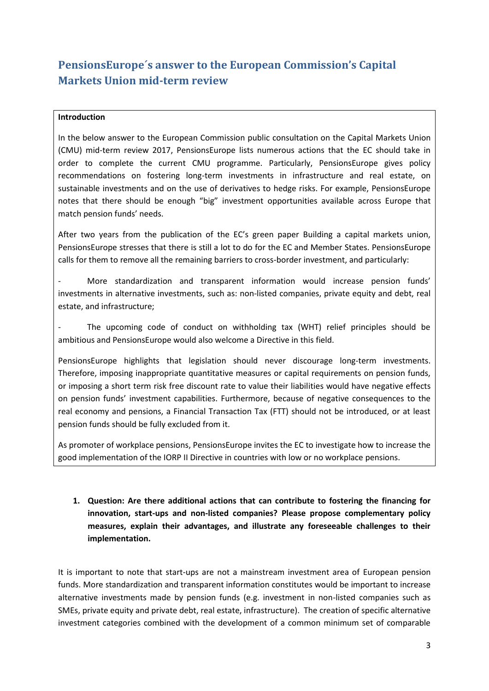## **PensionsEurope´s answer to the European Commission's Capital Markets Union mid-term review**

#### **Introduction**

In the below answer to the European Commission public consultation on the Capital Markets Union (CMU) mid-term review 2017, PensionsEurope lists numerous actions that the EC should take in order to complete the current CMU programme. Particularly, PensionsEurope gives policy recommendations on fostering long-term investments in infrastructure and real estate, on sustainable investments and on the use of derivatives to hedge risks. For example, PensionsEurope notes that there should be enough "big" investment opportunities available across Europe that match pension funds' needs.

After two years from the publication of the EC's green paper Building a capital markets union, PensionsEurope stresses that there is still a lot to do for the EC and Member States. PensionsEurope calls for them to remove all the remaining barriers to cross-border investment, and particularly:

More standardization and transparent information would increase pension funds' investments in alternative investments, such as: non-listed companies, private equity and debt, real estate, and infrastructure;

The upcoming code of conduct on withholding tax (WHT) relief principles should be ambitious and PensionsEurope would also welcome a Directive in this field.

PensionsEurope highlights that legislation should never discourage long-term investments. Therefore, imposing inappropriate quantitative measures or capital requirements on pension funds, or imposing a short term risk free discount rate to value their liabilities would have negative effects on pension funds' investment capabilities. Furthermore, because of negative consequences to the real economy and pensions, a Financial Transaction Tax (FTT) should not be introduced, or at least pension funds should be fully excluded from it.

As promoter of workplace pensions, PensionsEurope invites the EC to investigate how to increase the good implementation of the IORP II Directive in countries with low or no workplace pensions.

## **1. Question: Are there additional actions that can contribute to fostering the financing for innovation, start-ups and non-listed companies? Please propose complementary policy measures, explain their advantages, and illustrate any foreseeable challenges to their implementation.**

It is important to note that start-ups are not a mainstream investment area of European pension funds. More standardization and transparent information constitutes would be important to increase alternative investments made by pension funds (e.g. investment in non-listed companies such as SMEs, private equity and private debt, real estate, infrastructure). The creation of specific alternative investment categories combined with the development of a common minimum set of comparable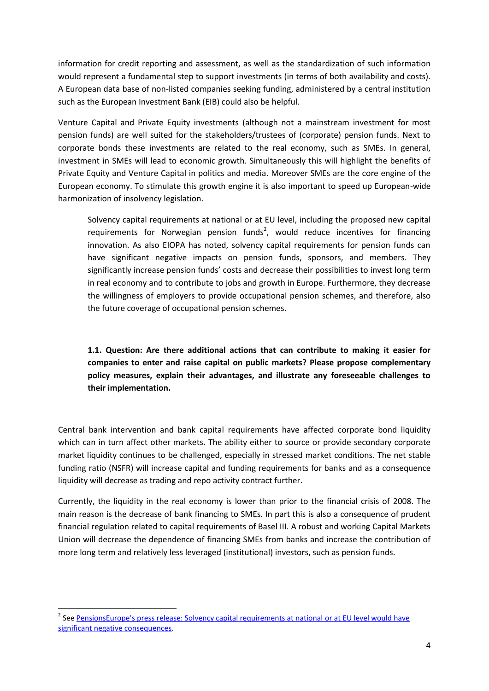information for credit reporting and assessment, as well as the standardization of such information would represent a fundamental step to support investments (in terms of both availability and costs). A European data base of non-listed companies seeking funding, administered by a central institution such as the European Investment Bank (EIB) could also be helpful.

Venture Capital and Private Equity investments (although not a mainstream investment for most pension funds) are well suited for the stakeholders/trustees of (corporate) pension funds. Next to corporate bonds these investments are related to the real economy, such as SMEs. In general, investment in SMEs will lead to economic growth. Simultaneously this will highlight the benefits of Private Equity and Venture Capital in politics and media. Moreover SMEs are the core engine of the European economy. To stimulate this growth engine it is also important to speed up European-wide harmonization of insolvency legislation.

Solvency capital requirements at national or at EU level, including the proposed new capital requirements for Norwegian pension funds<sup>2</sup>, would reduce incentives for financing innovation. As also EIOPA has noted, solvency capital requirements for pension funds can have significant negative impacts on pension funds, sponsors, and members. They significantly increase pension funds' costs and decrease their possibilities to invest long term in real economy and to contribute to jobs and growth in Europe. Furthermore, they decrease the willingness of employers to provide occupational pension schemes, and therefore, also the future coverage of occupational pension schemes.

**1.1. Question: Are there additional actions that can contribute to making it easier for companies to enter and raise capital on public markets? Please propose complementary policy measures, explain their advantages, and illustrate any foreseeable challenges to their implementation.**

Central bank intervention and bank capital requirements have affected corporate bond liquidity which can in turn affect other markets. The ability either to source or provide secondary corporate market liquidity continues to be challenged, especially in stressed market conditions. The net stable funding ratio (NSFR) will increase capital and funding requirements for banks and as a consequence liquidity will decrease as trading and repo activity contract further.

Currently, the liquidity in the real economy is lower than prior to the financial crisis of 2008. The main reason is the decrease of bank financing to SMEs. In part this is also a consequence of prudent financial regulation related to capital requirements of Basel III. A robust and working Capital Markets Union will decrease the dependence of financing SMEs from banks and increase the contribution of more long term and relatively less leveraged (institutional) investors, such as pension funds.

1

<sup>&</sup>lt;sup>2</sup> See <u>[PensionsEurope's press release: Solvency capital requirements at national](http://www.pensionseurope.eu/system/files/Press%20release%20-%20Solvency%20capital%20requirements%20at%20national%20or%20at%20EU%20level%20would%20have%20significant%20negative%20consequences.pdf) or at EU level would have</u> [significant negative consequences.](http://www.pensionseurope.eu/system/files/Press%20release%20-%20Solvency%20capital%20requirements%20at%20national%20or%20at%20EU%20level%20would%20have%20significant%20negative%20consequences.pdf)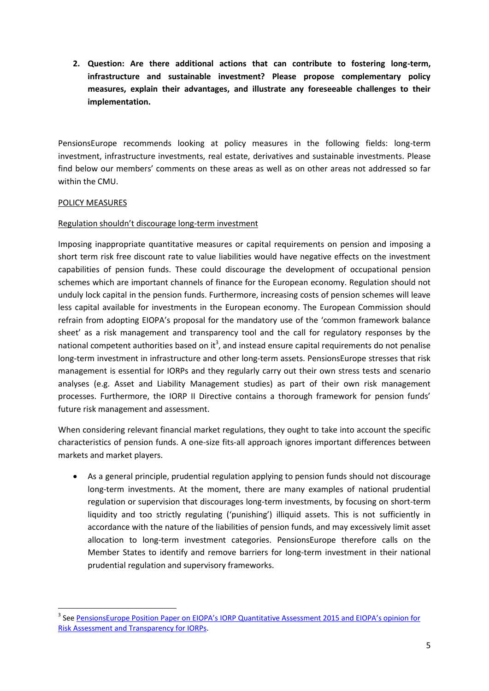**2. Question: Are there additional actions that can contribute to fostering long-term, infrastructure and sustainable investment? Please propose complementary policy measures, explain their advantages, and illustrate any foreseeable challenges to their implementation.**

PensionsEurope recommends looking at policy measures in the following fields: long-term investment, infrastructure investments, real estate, derivatives and sustainable investments. Please find below our members' comments on these areas as well as on other areas not addressed so far within the CMU.

#### POLICY MEASURES

1

#### Regulation shouldn't discourage long-term investment

Imposing inappropriate quantitative measures or capital requirements on pension and imposing a short term risk free discount rate to value liabilities would have negative effects on the investment capabilities of pension funds. These could discourage the development of occupational pension schemes which are important channels of finance for the European economy. Regulation should not unduly lock capital in the pension funds. Furthermore, increasing costs of pension schemes will leave less capital available for investments in the European economy. The European Commission should refrain from adopting EIOPA's proposal for the mandatory use of the 'common framework balance sheet' as a risk management and transparency tool and the call for regulatory responses by the national competent authorities based on it<sup>3</sup>, and instead ensure capital requirements do not penalise long-term investment in infrastructure and other long-term assets. PensionsEurope stresses that risk management is essential for IORPs and they regularly carry out their own stress tests and scenario analyses (e.g. Asset and Liability Management studies) as part of their own risk management processes. Furthermore, the IORP II Directive contains a thorough framework for pension funds' future risk management and assessment.

When considering relevant financial market regulations, they ought to take into account the specific characteristics of pension funds. A one-size fits-all approach ignores important differences between markets and market players.

 As a general principle, prudential regulation applying to pension funds should not discourage long-term investments. At the moment, there are many examples of national prudential regulation or supervision that discourages long-term investments, by focusing on short-term liquidity and too strictly regulating ('punishing') illiquid assets. This is not sufficiently in accordance with the nature of the liabilities of pension funds, and may excessively limit asset allocation to long-term investment categories. PensionsEurope therefore calls on the Member States to identify and remove barriers for long-term investment in their national prudential regulation and supervisory frameworks.

<sup>&</sup>lt;sup>3</sup> See <u>PensionsEurope Position Paper on EIOPA's IORP Quantitative Assessment 2015 and EIOPA's opinion for</u> [Risk Assessment and Transparency for IORPs.](http://www.pensionseurope.eu/system/files/2016.09.15%20-%20PensionsEurope%20Position%20Paper%20on%20QA%20and%20EIOPA%20opinion.pdf)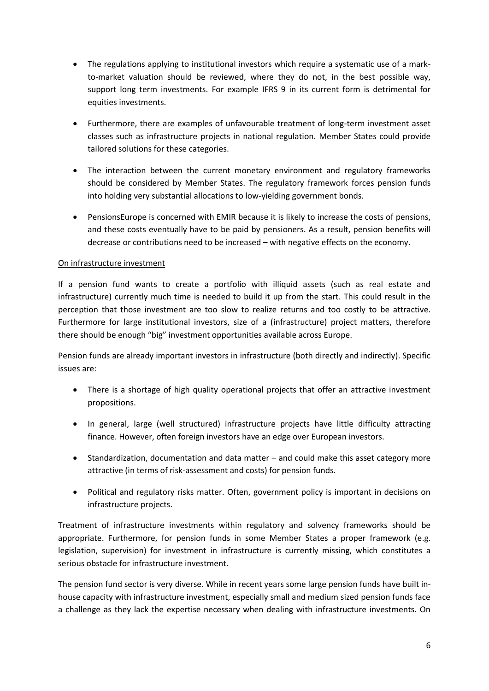- The regulations applying to institutional investors which require a systematic use of a markto-market valuation should be reviewed, where they do not, in the best possible way, support long term investments. For example IFRS 9 in its current form is detrimental for equities investments.
- Furthermore, there are examples of unfavourable treatment of long-term investment asset classes such as infrastructure projects in national regulation. Member States could provide tailored solutions for these categories.
- The interaction between the current monetary environment and regulatory frameworks should be considered by Member States. The regulatory framework forces pension funds into holding very substantial allocations to low-yielding government bonds.
- PensionsEurope is concerned with EMIR because it is likely to increase the costs of pensions, and these costs eventually have to be paid by pensioners. As a result, pension benefits will decrease or contributions need to be increased – with negative effects on the economy.

## On infrastructure investment

If a pension fund wants to create a portfolio with illiquid assets (such as real estate and infrastructure) currently much time is needed to build it up from the start. This could result in the perception that those investment are too slow to realize returns and too costly to be attractive. Furthermore for large institutional investors, size of a (infrastructure) project matters, therefore there should be enough "big" investment opportunities available across Europe.

Pension funds are already important investors in infrastructure (both directly and indirectly). Specific issues are:

- There is a shortage of high quality operational projects that offer an attractive investment propositions.
- In general, large (well structured) infrastructure projects have little difficulty attracting finance. However, often foreign investors have an edge over European investors.
- Standardization, documentation and data matter and could make this asset category more attractive (in terms of risk-assessment and costs) for pension funds.
- Political and regulatory risks matter. Often, government policy is important in decisions on infrastructure projects.

Treatment of infrastructure investments within regulatory and solvency frameworks should be appropriate. Furthermore, for pension funds in some Member States a proper framework (e.g. legislation, supervision) for investment in infrastructure is currently missing, which constitutes a serious obstacle for infrastructure investment.

The pension fund sector is very diverse. While in recent years some large pension funds have built inhouse capacity with infrastructure investment, especially small and medium sized pension funds face a challenge as they lack the expertise necessary when dealing with infrastructure investments. On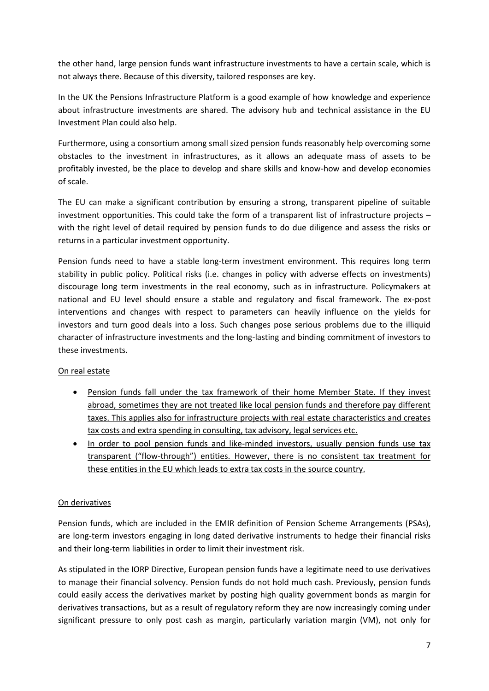the other hand, large pension funds want infrastructure investments to have a certain scale, which is not always there. Because of this diversity, tailored responses are key.

In the UK the Pensions Infrastructure Platform is a good example of how knowledge and experience about infrastructure investments are shared. The advisory hub and technical assistance in the EU Investment Plan could also help.

Furthermore, using a consortium among small sized pension funds reasonably help overcoming some obstacles to the investment in infrastructures, as it allows an adequate mass of assets to be profitably invested, be the place to develop and share skills and know-how and develop economies of scale.

The EU can make a significant contribution by ensuring a strong, transparent pipeline of suitable investment opportunities. This could take the form of a transparent list of infrastructure projects – with the right level of detail required by pension funds to do due diligence and assess the risks or returns in a particular investment opportunity.

Pension funds need to have a stable long-term investment environment. This requires long term stability in public policy. Political risks (i.e. changes in policy with adverse effects on investments) discourage long term investments in the real economy, such as in infrastructure. Policymakers at national and EU level should ensure a stable and regulatory and fiscal framework. The ex-post interventions and changes with respect to parameters can heavily influence on the yields for investors and turn good deals into a loss. Such changes pose serious problems due to the illiquid character of infrastructure investments and the long-lasting and binding commitment of investors to these investments.

## On real estate

- Pension funds fall under the tax framework of their home Member State. If they invest abroad, sometimes they are not treated like local pension funds and therefore pay different taxes. This applies also for infrastructure projects with real estate characteristics and creates tax costs and extra spending in consulting, tax advisory, legal services etc.
- In order to pool pension funds and like-minded investors, usually pension funds use tax transparent ("flow-through") entities. However, there is no consistent tax treatment for these entities in the EU which leads to extra tax costs in the source country.

## On derivatives

Pension funds, which are included in the EMIR definition of Pension Scheme Arrangements (PSAs), are long-term investors engaging in long dated derivative instruments to hedge their financial risks and their long-term liabilities in order to limit their investment risk.

As stipulated in the IORP Directive, European pension funds have a legitimate need to use derivatives to manage their financial solvency. Pension funds do not hold much cash. Previously, pension funds could easily access the derivatives market by posting high quality government bonds as margin for derivatives transactions, but as a result of regulatory reform they are now increasingly coming under significant pressure to only post cash as margin, particularly variation margin (VM), not only for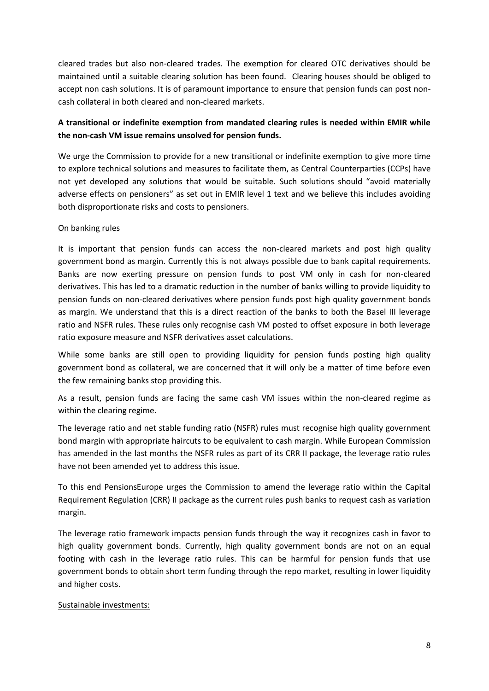cleared trades but also non-cleared trades. The exemption for cleared OTC derivatives should be maintained until a suitable clearing solution has been found. Clearing houses should be obliged to accept non cash solutions. It is of paramount importance to ensure that pension funds can post noncash collateral in both cleared and non-cleared markets.

## **A transitional or indefinite exemption from mandated clearing rules is needed within EMIR while the non-cash VM issue remains unsolved for pension funds.**

We urge the Commission to provide for a new transitional or indefinite exemption to give more time to explore technical solutions and measures to facilitate them, as Central Counterparties (CCPs) have not yet developed any solutions that would be suitable. Such solutions should "avoid materially adverse effects on pensioners" as set out in EMIR level 1 text and we believe this includes avoiding both disproportionate risks and costs to pensioners.

## On banking rules

It is important that pension funds can access the non-cleared markets and post high quality government bond as margin. Currently this is not always possible due to bank capital requirements. Banks are now exerting pressure on pension funds to post VM only in cash for non-cleared derivatives. This has led to a dramatic reduction in the number of banks willing to provide liquidity to pension funds on non-cleared derivatives where pension funds post high quality government bonds as margin. We understand that this is a direct reaction of the banks to both the Basel III leverage ratio and NSFR rules. These rules only recognise cash VM posted to offset exposure in both leverage ratio exposure measure and NSFR derivatives asset calculations.

While some banks are still open to providing liquidity for pension funds posting high quality government bond as collateral, we are concerned that it will only be a matter of time before even the few remaining banks stop providing this.

As a result, pension funds are facing the same cash VM issues within the non-cleared regime as within the clearing regime.

The leverage ratio and net stable funding ratio (NSFR) rules must recognise high quality government bond margin with appropriate haircuts to be equivalent to cash margin. While European Commission has amended in the last months the NSFR rules as part of its CRR II package, the leverage ratio rules have not been amended yet to address this issue.

To this end PensionsEurope urges the Commission to amend the leverage ratio within the Capital Requirement Regulation (CRR) II package as the current rules push banks to request cash as variation margin.

The leverage ratio framework impacts pension funds through the way it recognizes cash in favor to high quality government bonds. Currently, high quality government bonds are not on an equal footing with cash in the leverage ratio rules. This can be harmful for pension funds that use government bonds to obtain short term funding through the repo market, resulting in lower liquidity and higher costs.

## Sustainable investments: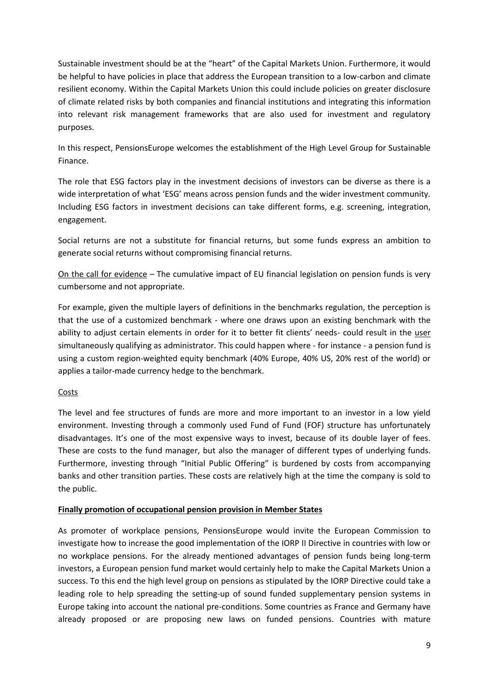Sustainable investment should be at the "heart" of the Capital Markets Union. Furthermore, it would be helpful to have policies in place that address the European transition to a low-carbon and climate resilient economy. Within the Capital Markets Union this could include policies on greater disclosure of climate related risks by both companies and financial institutions and integrating this information into relevant risk management frameworks that are also used for investment and regulatory purposes.

In this respect, PensionsEurope welcomes the establishment of the High Level Group for Sustainable Finance.

The role that ESG factors play in the investment decisions of investors can be diverse as there is a wide interpretation of what 'ESG' means across pension funds and the wider investment community. Including ESG factors in investment decisions can take different forms, e.g. screening, integration, engagement.

Social returns are not a substitute for financial returns, but some funds express an ambition to generate social returns without compromising financial returns.

On the call for evidence – The cumulative impact of EU financial legislation on pension funds is very cumbersome and not appropriate.

For example, given the multiple layers of definitions in the benchmarks regulation, the perception is that the use of a customized benchmark - where one draws upon an existing benchmark with the ability to adjust certain elements in order for it to better fit clients' needs- could result in the user simultaneously qualifying as administrator. This could happen where - for instance - a pension fund is using a custom region-weighted equity benchmark (40% Europe, 40% US, 20% rest of the world) or applies a tailor-made currency hedge to the benchmark.

## Costs

The level and fee structures of funds are more and more important to an investor in a low yield environment. Investing through a commonly used Fund of Fund (FOF) structure has unfortunately disadvantages. It's one of the most expensive ways to invest, because of its double layer of fees. These are costs to the fund manager, but also the manager of different types of underlying funds. Furthermore, investing through "Initial Public Offering" is burdened by costs from accompanying banks and other transition parties. These costs are relatively high at the time the company is sold to the public.

## **Finally promotion of occupational pension provision in Member States**

As promoter of workplace pensions, PensionsEurope would invite the European Commission to investigate how to increase the good implementation of the IORP II Directive in countries with low or no workplace pensions. For the already mentioned advantages of pension funds being long-term investors, a European pension fund market would certainly help to make the Capital Markets Union a success. To this end the high level group on pensions as stipulated by the IORP Directive could take a leading role to help spreading the setting-up of sound funded supplementary pension systems in Europe taking into account the national pre-conditions. Some countries as France and Germany have already proposed or are proposing new laws on funded pensions. Countries with mature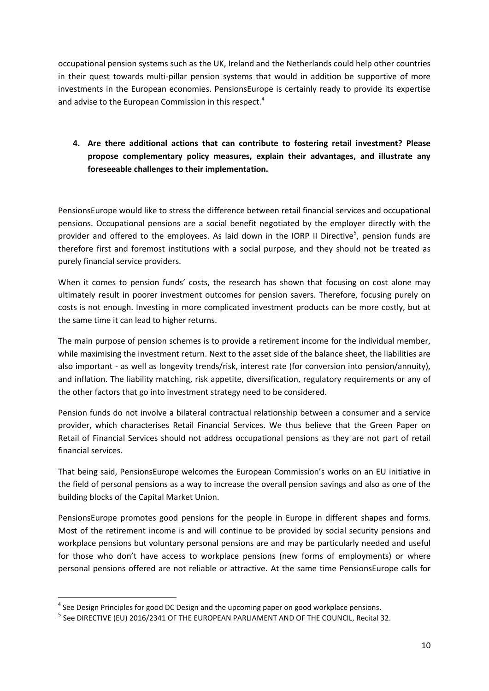occupational pension systems such as the UK, Ireland and the Netherlands could help other countries in their quest towards multi-pillar pension systems that would in addition be supportive of more investments in the European economies. PensionsEurope is certainly ready to provide its expertise and advise to the European Commission in this respect.<sup>4</sup>

## **4. Are there additional actions that can contribute to fostering retail investment? Please propose complementary policy measures, explain their advantages, and illustrate any foreseeable challenges to their implementation.**

PensionsEurope would like to stress the difference between retail financial services and occupational pensions. Occupational pensions are a social benefit negotiated by the employer directly with the provider and offered to the employees. As laid down in the IORP II Directive<sup>5</sup>, pension funds are therefore first and foremost institutions with a social purpose, and they should not be treated as purely financial service providers.

When it comes to pension funds' costs, the research has shown that focusing on cost alone may ultimately result in poorer investment outcomes for pension savers. Therefore, focusing purely on costs is not enough. Investing in more complicated investment products can be more costly, but at the same time it can lead to higher returns.

The main purpose of pension schemes is to provide a retirement income for the individual member, while maximising the investment return. Next to the asset side of the balance sheet, the liabilities are also important - as well as longevity trends/risk, interest rate (for conversion into pension/annuity), and inflation. The liability matching, risk appetite, diversification, regulatory requirements or any of the other factors that go into investment strategy need to be considered.

Pension funds do not involve a bilateral contractual relationship between a consumer and a service provider, which characterises Retail Financial Services. We thus believe that the Green Paper on Retail of Financial Services should not address occupational pensions as they are not part of retail financial services.

That being said, PensionsEurope welcomes the European Commission's works on an EU initiative in the field of personal pensions as a way to increase the overall pension savings and also as one of the building blocks of the Capital Market Union.

PensionsEurope promotes good pensions for the people in Europe in different shapes and forms. Most of the retirement income is and will continue to be provided by social security pensions and workplace pensions but voluntary personal pensions are and may be particularly needed and useful for those who don't have access to workplace pensions (new forms of employments) or where personal pensions offered are not reliable or attractive. At the same time PensionsEurope calls for

1

 $^{4}$  See Design Principles for good DC Design and the upcoming paper on good workplace pensions.

 $^{\rm 5}$  See DIRECTIVE (EU) 2016/2341 OF THE EUROPEAN PARLIAMENT AND OF THE COUNCIL, Recital 32.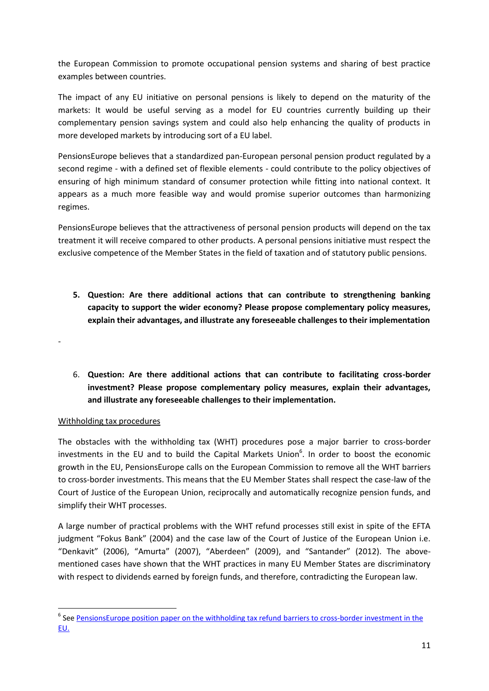the European Commission to promote occupational pension systems and sharing of best practice examples between countries.

The impact of any EU initiative on personal pensions is likely to depend on the maturity of the markets: It would be useful serving as a model for EU countries currently building up their complementary pension savings system and could also help enhancing the quality of products in more developed markets by introducing sort of a EU label.

PensionsEurope believes that a standardized pan-European personal pension product regulated by a second regime - with a defined set of flexible elements - could contribute to the policy objectives of ensuring of high minimum standard of consumer protection while fitting into national context. It appears as a much more feasible way and would promise superior outcomes than harmonizing regimes.

PensionsEurope believes that the attractiveness of personal pension products will depend on the tax treatment it will receive compared to other products. A personal pensions initiative must respect the exclusive competence of the Member States in the field of taxation and of statutory public pensions.

- **5. Question: Are there additional actions that can contribute to strengthening banking capacity to support the wider economy? Please propose complementary policy measures, explain their advantages, and illustrate any foreseeable challenges to their implementation**
- 6. **Question: Are there additional actions that can contribute to facilitating cross-border investment? Please propose complementary policy measures, explain their advantages, and illustrate any foreseeable challenges to their implementation.**

## Withholding tax procedures

-

1

The obstacles with the withholding tax (WHT) procedures pose a major barrier to cross-border investments in the EU and to build the Capital Markets Union $6$ . In order to boost the economic growth in the EU, PensionsEurope calls on the European Commission to remove all the WHT barriers to cross-border investments. This means that the EU Member States shall respect the case-law of the Court of Justice of the European Union, reciprocally and automatically recognize pension funds, and simplify their WHT processes.

A large number of practical problems with the WHT refund processes still exist in spite of the EFTA judgment "Fokus Bank" (2004) and the case law of the Court of Justice of the European Union i.e. "Denkavit" (2006), "Amurta" (2007), "Aberdeen" (2009), and "Santander" (2012). The abovementioned cases have shown that the WHT practices in many EU Member States are discriminatory with respect to dividends earned by foreign funds, and therefore, contradicting the European law.

<sup>&</sup>lt;sup>6</sup> See **PensionsEurope position paper on the withholding tax refund barriers to cross-border investment in the** [EU.](http://www.pensionseurope.eu/system/files/PensionsEurope%20position%20paper%20on%20the%20withholding%20tax%20refund%20barriers%20-%20FINAL.pdf)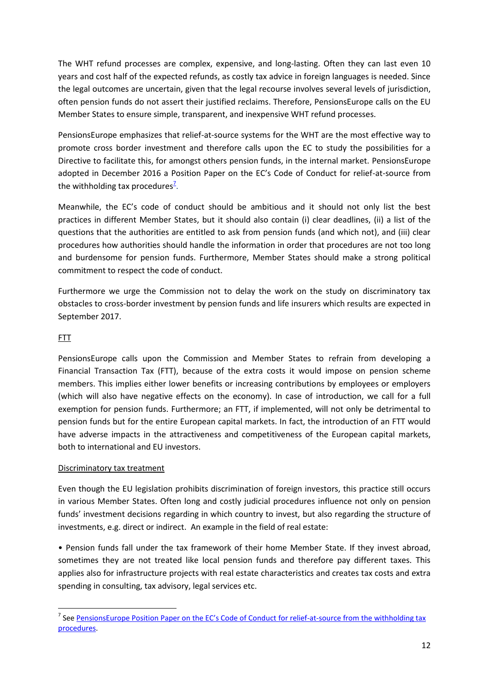The WHT refund processes are complex, expensive, and long-lasting. Often they can last even 10 years and cost half of the expected refunds, as costly tax advice in foreign languages is needed. Since the legal outcomes are uncertain, given that the legal recourse involves several levels of jurisdiction, often pension funds do not assert their justified reclaims. Therefore, PensionsEurope calls on the EU Member States to ensure simple, transparent, and inexpensive WHT refund processes.

PensionsEurope emphasizes that relief-at-source systems for the WHT are the most effective way to promote cross border investment and therefore calls upon the EC to study the possibilities for a Directive to facilitate this, for amongst others pension funds, in the internal market. PensionsEurope adopted in December 2016 a Position Paper on the EC's Code of Conduct for relief-at-source from the withholding tax procedures<sup>2</sup>.

Meanwhile, the EC's code of conduct should be ambitious and it should not only list the best practices in different Member States, but it should also contain (i) clear deadlines, (ii) a list of the questions that the authorities are entitled to ask from pension funds (and which not), and (iii) clear procedures how authorities should handle the information in order that procedures are not too long and burdensome for pension funds. Furthermore, Member States should make a strong political commitment to respect the code of conduct.

Furthermore we urge the Commission not to delay the work on the study on discriminatory tax obstacles to cross-border investment by pension funds and life insurers which results are expected in September 2017.

## FTT

1

PensionsEurope calls upon the Commission and Member States to refrain from developing a Financial Transaction Tax (FTT), because of the extra costs it would impose on pension scheme members. This implies either lower benefits or increasing contributions by employees or employers (which will also have negative effects on the economy). In case of introduction, we call for a full exemption for pension funds. Furthermore; an FTT, if implemented, will not only be detrimental to pension funds but for the entire European capital markets. In fact, the introduction of an FTT would have adverse impacts in the attractiveness and competitiveness of the European capital markets, both to international and EU investors.

## Discriminatory tax treatment

Even though the EU legislation prohibits discrimination of foreign investors, this practice still occurs in various Member States. Often long and costly judicial procedures influence not only on pension funds' investment decisions regarding in which country to invest, but also regarding the structure of investments, e.g. direct or indirect. An example in the field of real estate:

• Pension funds fall under the tax framework of their home Member State. If they invest abroad, sometimes they are not treated like local pension funds and therefore pay different taxes. This applies also for infrastructure projects with real estate characteristics and creates tax costs and extra spending in consulting, tax advisory, legal services etc.

<sup>&</sup>lt;sup>7</sup> See <u>[PensionsEurope Position Paper on the EC's Code of Conduct](http://www.pensionseurope.eu/system/files/PensionsEurope%20position%20paper%20on%20WHT%20Code%20of%20Conduct%20-%202016-11-30.pdf) for relief-at-source from the withholding tax</u> [procedures.](http://www.pensionseurope.eu/system/files/PensionsEurope%20position%20paper%20on%20WHT%20Code%20of%20Conduct%20-%202016-11-30.pdf)